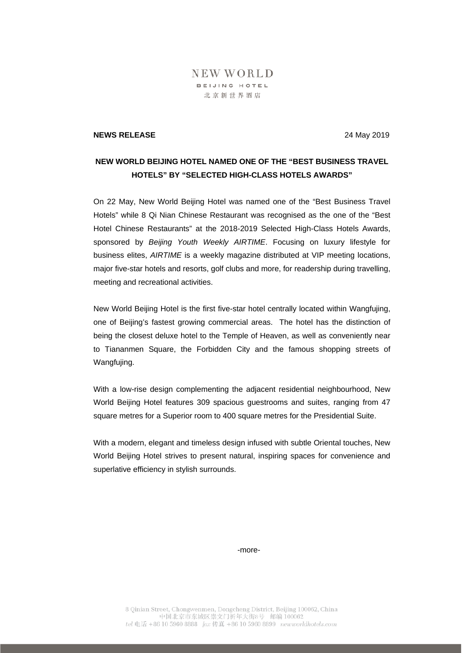## NEW WORLD BEIJING HOTEL 北京新世界酒店

## **NEWS RELEASE** 24 May 2019

## **NEW WORLD BEIJING HOTEL NAMED ONE OF THE "BEST BUSINESS TRAVEL HOTELS" BY "SELECTED HIGH-CLASS HOTELS AWARDS"**

On 22 May, New World Beijing Hotel was named one of the "Best Business Travel Hotels" while 8 Qi Nian Chinese Restaurant was recognised as the one of the "Best Hotel Chinese Restaurants" at the 2018-2019 Selected High-Class Hotels Awards, sponsored by *Beijing Youth Weekly AIRTIME*. Focusing on luxury lifestyle for business elites, *AIRTIME* is a weekly magazine distributed at VIP meeting locations, major five-star hotels and resorts, golf clubs and more, for readership during travelling, meeting and recreational activities.

New World Beijing Hotel is the first five-star hotel centrally located within Wangfujing, one of Beijing's fastest growing commercial areas. The hotel has the distinction of being the closest deluxe hotel to the Temple of Heaven, as well as conveniently near to Tiananmen Square, the Forbidden City and the famous shopping streets of Wangfujing.

With a low-rise design complementing the adjacent residential neighbourhood, New World Beijing Hotel features 309 spacious guestrooms and suites, ranging from 47 square metres for a Superior room to 400 square metres for the Presidential Suite.

With a modern, elegant and timeless design infused with subtle Oriental touches, New World Beijing Hotel strives to present natural, inspiring spaces for convenience and superlative efficiency in stylish surrounds.

-more-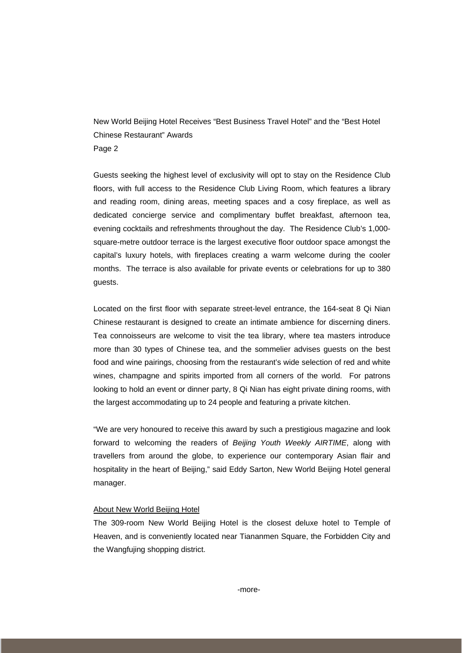New World Beijing Hotel Receives "Best Business Travel Hotel" and the "Best Hotel Chinese Restaurant" Awards Page 2

Guests seeking the highest level of exclusivity will opt to stay on the Residence Club floors, with full access to the Residence Club Living Room, which features a library and reading room, dining areas, meeting spaces and a cosy fireplace, as well as dedicated concierge service and complimentary buffet breakfast, afternoon tea, evening cocktails and refreshments throughout the day. The Residence Club's 1,000 square-metre outdoor terrace is the largest executive floor outdoor space amongst the capital's luxury hotels, with fireplaces creating a warm welcome during the cooler months. The terrace is also available for private events or celebrations for up to 380 guests.

Located on the first floor with separate street-level entrance, the 164-seat 8 Qi Nian Chinese restaurant is designed to create an intimate ambience for discerning diners. Tea connoisseurs are welcome to visit the tea library, where tea masters introduce more than 30 types of Chinese tea, and the sommelier advises guests on the best food and wine pairings, choosing from the restaurant's wide selection of red and white wines, champagne and spirits imported from all corners of the world. For patrons looking to hold an event or dinner party, 8 Qi Nian has eight private dining rooms, with the largest accommodating up to 24 people and featuring a private kitchen.

"We are very honoured to receive this award by such a prestigious magazine and look forward to welcoming the readers of *Beijing Youth Weekly AIRTIME*, along with travellers from around the globe, to experience our contemporary Asian flair and hospitality in the heart of Beijing," said Eddy Sarton, New World Beijing Hotel general manager.

## About New World Beijing Hotel

The 309-room New World Beijing Hotel is the closest deluxe hotel to Temple of Heaven, and is conveniently located near Tiananmen Square, the Forbidden City and the Wangfujing shopping district.